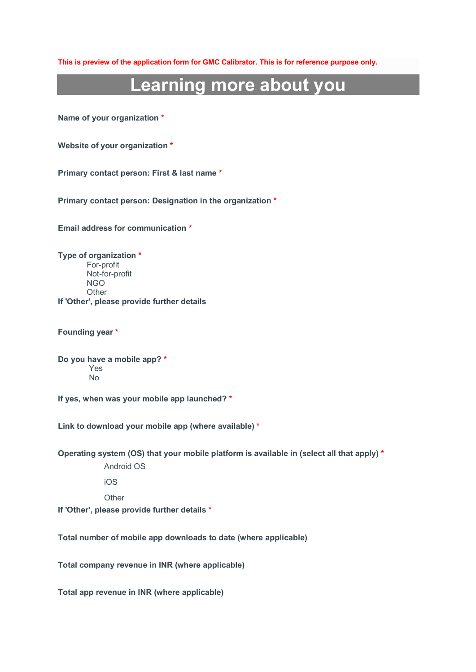**This is preview of the application form for GMC Calibrator. This is for reference purpose only.** 

## **Learning more about you**

**Name of your organization \***

**Website of your organization \***

**Primary contact person: First & last name \***

**Primary contact person: Designation in the organization \***

**Email address for communication \***

**Type of organization \*** For-profit Not-for-profit NGO **Other If 'Other', please provide further details**

**Founding year \***

```
Do you have a mobile app? *
Yes
No
```
**If yes, when was your mobile app launched? \***

**Link to download your mobile app (where available) \***

**Operating system (OS) that your mobile platform is available in (select all that apply) \*** Android OS

iOS

**Other** 

**If 'Other', please provide further details \***

**Total number of mobile app downloads to date (where applicable)**

**Total company revenue in INR (where applicable)**

**Total app revenue in INR (where applicable)**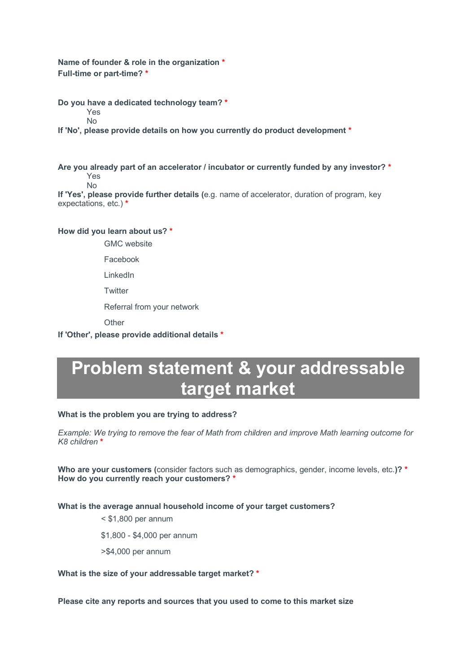**Name of founder & role in the organization \* Full-time or part-time? \***

**Do you have a dedicated technology team? \*** Yes No **If 'No', please provide details on how you currently do product development \***

**Are you already part of an accelerator / incubator or currently funded by any investor? \*** Yes No

**If 'Yes', please provide further details (**e.g. name of accelerator, duration of program, key expectations, etc.) **\***

#### **How did you learn about us? \***

GMC website

Facebook

LinkedIn

**Twitter** 

Referral from your network

**Other** 

**If 'Other', please provide additional details \***

## **Problem statement & your addressable target market**

### **What is the problem you are trying to address?**

*Example: We trying to remove the fear of Math from children and improve Math learning outcome for K8 children* **\***

**Who are your customers (**consider factors such as demographics, gender, income levels, etc.**)? \* How do you currently reach your customers? \***

**What is the average annual household income of your target customers?**

 < \$1,800 per annum \$1,800 - \$4,000 per annum >\$4,000 per annum

### **What is the size of your addressable target market? \***

**Please cite any reports and sources that you used to come to this market size**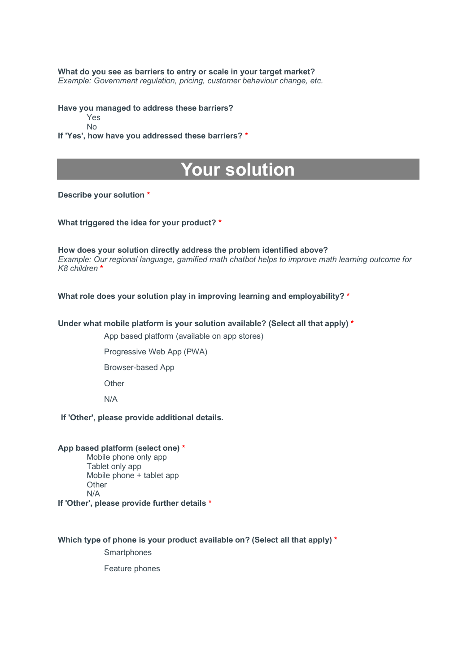**What do you see as barriers to entry or scale in your target market?** *Example: Government regulation, pricing, customer behaviour change, etc.*

**Have you managed to address these barriers?** Yes No

**If 'Yes', how have you addressed these barriers? \***

# **Your solution**

**Describe your solution \***

**What triggered the idea for your product? \***

**How does your solution directly address the problem identified above?** *Example: Our regional language, gamified math chatbot helps to improve math learning outcome for K8 children* **\***

**What role does your solution play in improving learning and employability? \***

#### **Under what mobile platform is your solution available? (Select all that apply) \***

App based platform (available on app stores)

- Progressive Web App (PWA)
- Browser-based App

**Other** 

N/A

#### **If 'Other', please provide additional details.**

### **App based platform (select one) \***

Mobile phone only app Tablet only app Mobile phone + tablet app **Other** N/A **If 'Other', please provide further details \***

### **Which type of phone is your product available on? (Select all that apply) \***

**Smartphones** 

Feature phones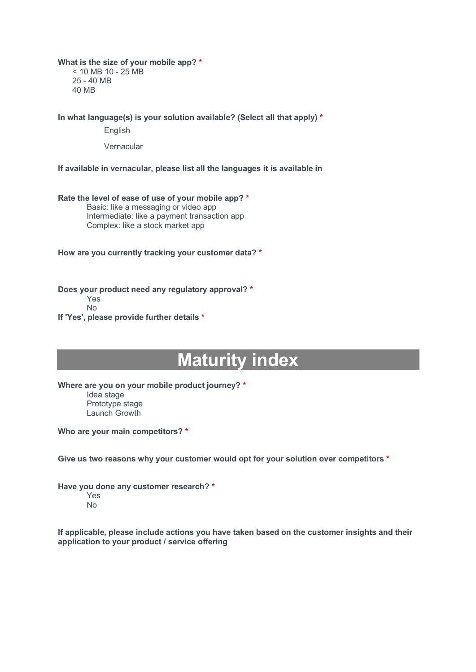**What is the size of your mobile app? \*** < 10 MB 10 - 25 MB 25 - 40 MB 40 MB

**In what language(s) is your solution available? (Select all that apply) \***

**English** 

Vernacular

**If available in vernacular, please list all the languages it is available in**

**Rate the level of ease of use of your mobile app? \*** Basic: like a messaging or video app Intermediate: like a payment transaction app Complex: like a stock market app

**How are you currently tracking your customer data? \***

**Does your product need any regulatory approval? \*** Yes No **If 'Yes', please provide further details \***

## **Maturity index**

**Where are you on your mobile product journey? \*** Idea stage Prototype stage Launch Growth

**Who are your main competitors? \***

**Give us two reasons why your customer would opt for your solution over competitors \***

**Have you done any customer research? \*** Yes No

**If applicable, please include actions you have taken based on the customer insights and their application to your product / service offering**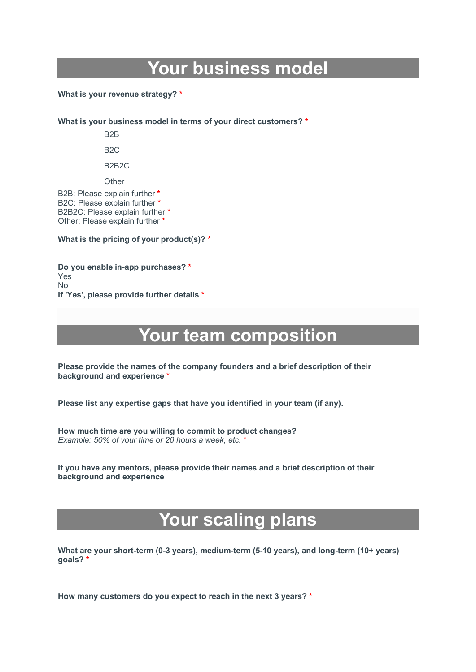# **Your business model**

### **What is your revenue strategy? \***

**What is your business model in terms of your direct customers? \***

B2B

B2C

B2B2C

**Other** 

B2B: Please explain further **\*** B2C: Please explain further **\*** B2B2C: Please explain further **\*** Other: Please explain further **\***

**What is the pricing of your product(s)? \***

**Do you enable in-app purchases? \*** Yes No **If 'Yes', please provide further details \***

## **Your team composition**

**Please provide the names of the company founders and a brief description of their background and experience \***

**Please list any expertise gaps that have you identified in your team (if any).**

**How much time are you willing to commit to product changes?** *Example: 50% of your time or 20 hours a week, etc.* **\***

**If you have any mentors, please provide their names and a brief description of their background and experience**

# **Your scaling plans**

**What are your short-term (0-3 years), medium-term (5-10 years), and long-term (10+ years) goals? \***

**How many customers do you expect to reach in the next 3 years? \***